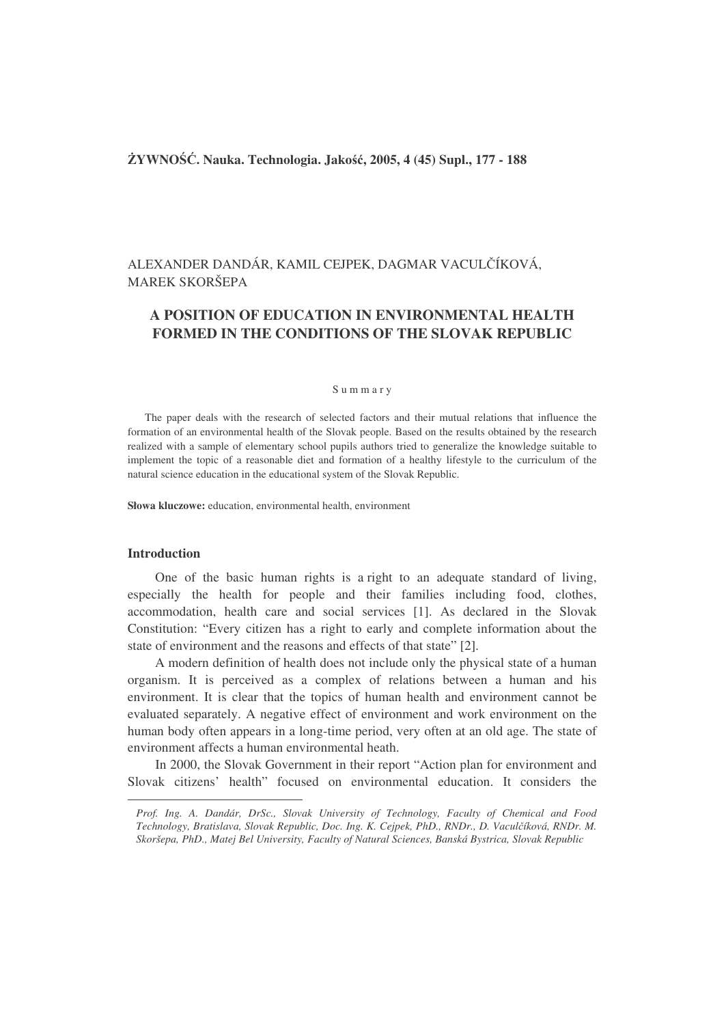## **YWNO**-**. Nauka. Technologia. Jako, 2005, 4 (45) Supl., 177 - 188**

# ALEXANDER DANDÁR, KAMIL CEJPEK, DAGMAR VACULČÍKOVÁ, MAREK SKORŠEPA

# **A POSITION OF EDUCATION IN ENVIRONMENTAL HEALTH FORMED IN THE CONDITIONS OF THE SLOVAK REPUBLIC**

#### S u m m a r y

The paper deals with the research of selected factors and their mutual relations that influence the formation of an environmental health of the Slovak people. Based on the results obtained by the research realized with a sample of elementary school pupils authors tried to generalize the knowledge suitable to implement the topic of a reasonable diet and formation of a healthy lifestyle to the curriculum of the natural science education in the educational system of the Slovak Republic.

**Słowa kluczowe:** education, environmental health, environment

# **Introduction**

One of the basic human rights is a right to an adequate standard of living, especially the health for people and their families including food, clothes, accommodation, health care and social services [1]. As declared in the Slovak Constitution: "Every citizen has a right to early and complete information about the state of environment and the reasons and effects of that state" [2].

A modern definition of health does not include only the physical state of a human organism. It is perceived as a complex of relations between a human and his environment. It is clear that the topics of human health and environment cannot be evaluated separately. A negative effect of environment and work environment on the human body often appears in a long-time period, very often at an old age. The state of environment affects a human environmental heath.

In 2000, the Slovak Government in their report "Action plan for environment and Slovak citizens' health" focused on environmental education. It considers the

*Prof. Ing. A. Dandár, DrSc., Slovak University of Technology, Faculty of Chemical and Food Technology, Bratislava, Slovak Republic, Doc. Ing. K. Cejpek, PhD., RNDr., D. Vaculíková, RNDr. M. Skoršepa, PhD., Matej Bel University, Faculty of Natural Sciences, Banská Bystrica, Slovak Republic*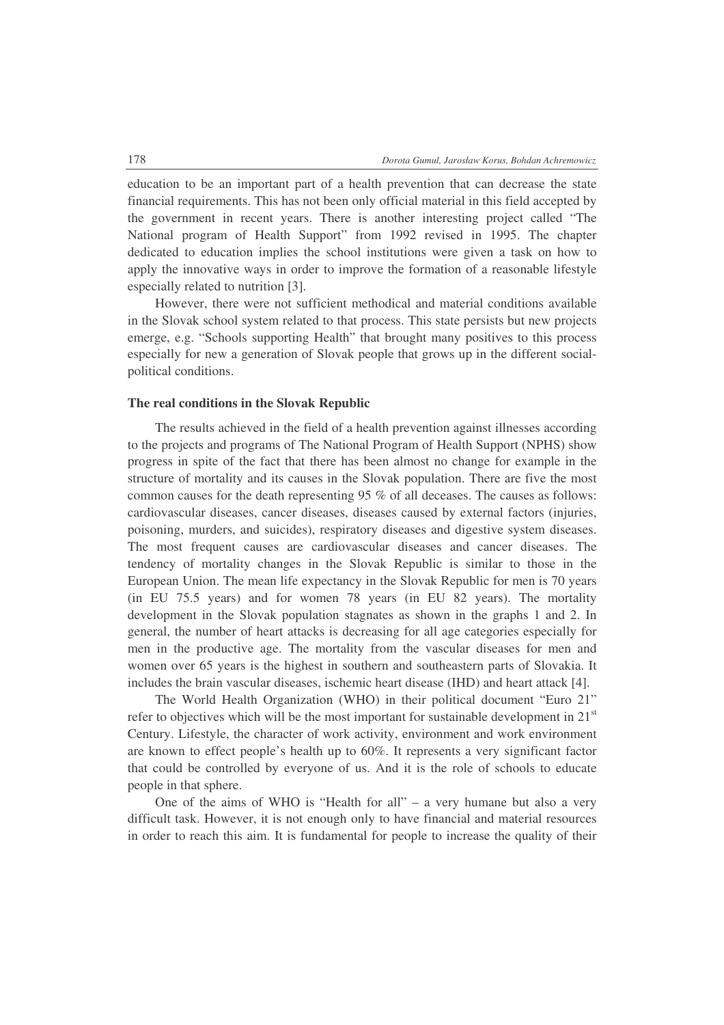education to be an important part of a health prevention that can decrease the state financial requirements. This has not been only official material in this field accepted by the government in recent years. There is another interesting project called "The National program of Health Support" from 1992 revised in 1995. The chapter dedicated to education implies the school institutions were given a task on how to apply the innovative ways in order to improve the formation of a reasonable lifestyle especially related to nutrition [3].

However, there were not sufficient methodical and material conditions available in the Slovak school system related to that process. This state persists but new projects emerge, e.g. "Schools supporting Health" that brought many positives to this process especially for new a generation of Slovak people that grows up in the different socialpolitical conditions.

#### **The real conditions in the Slovak Republic**

The results achieved in the field of a health prevention against illnesses according to the projects and programs of The National Program of Health Support (NPHS) show progress in spite of the fact that there has been almost no change for example in the structure of mortality and its causes in the Slovak population. There are five the most common causes for the death representing 95 % of all deceases. The causes as follows: cardiovascular diseases, cancer diseases, diseases caused by external factors (injuries, poisoning, murders, and suicides), respiratory diseases and digestive system diseases. The most frequent causes are cardiovascular diseases and cancer diseases. The tendency of mortality changes in the Slovak Republic is similar to those in the European Union. The mean life expectancy in the Slovak Republic for men is 70 years (in EU 75.5 years) and for women 78 years (in EU 82 years). The mortality development in the Slovak population stagnates as shown in the graphs 1 and 2. In general, the number of heart attacks is decreasing for all age categories especially for men in the productive age. The mortality from the vascular diseases for men and women over 65 years is the highest in southern and southeastern parts of Slovakia. It includes the brain vascular diseases, ischemic heart disease (IHD) and heart attack [4].

The World Health Organization (WHO) in their political document "Euro 21" refer to objectives which will be the most important for sustainable development in  $21<sup>st</sup>$ Century. Lifestyle, the character of work activity, environment and work environment are known to effect people's health up to 60%. It represents a very significant factor that could be controlled by everyone of us. And it is the role of schools to educate people in that sphere.

One of the aims of WHO is "Health for all" – a very humane but also a very difficult task. However, it is not enough only to have financial and material resources in order to reach this aim. It is fundamental for people to increase the quality of their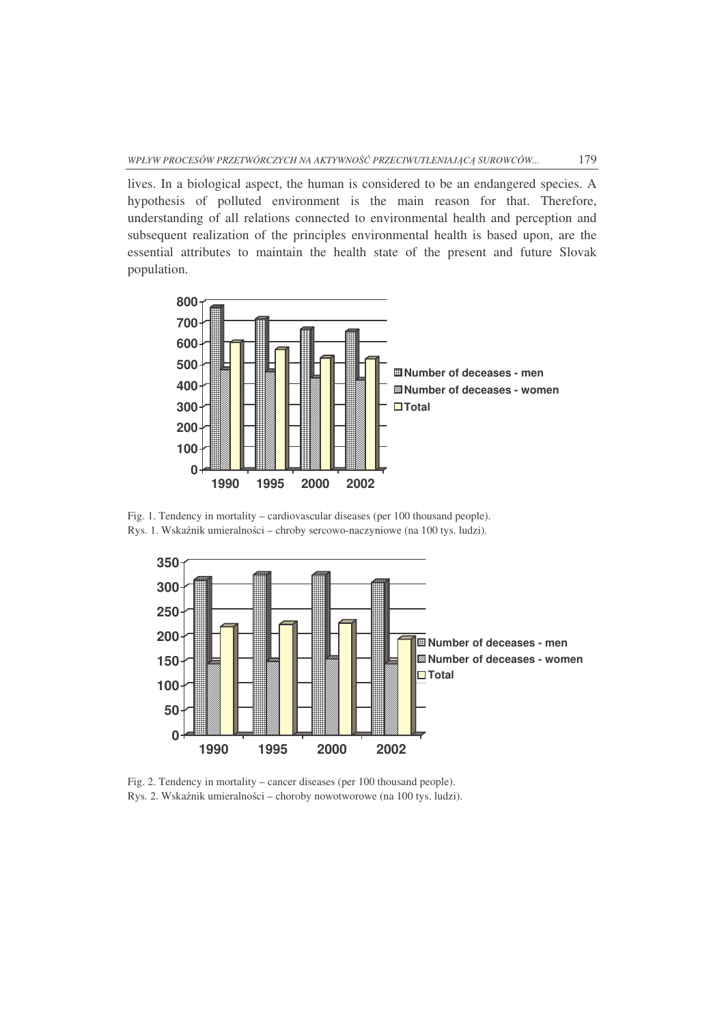lives. In a biological aspect, the human is considered to be an endangered species. A hypothesis of polluted environment is the main reason for that. Therefore, understanding of all relations connected to environmental health and perception and subsequent realization of the principles environmental health is based upon, are the essential attributes to maintain the health state of the present and future Slovak population.



Fig. 1. Tendency in mortality – cardiovascular diseases (per 100 thousand people). Rys. 1. Wskaźnik umieralności – chroby sercowo-naczyniowe (na 100 tys. ludzi).



Fig. 2. Tendency in mortality – cancer diseases (per 100 thousand people). Rys. 2. Wskaźnik umieralności – choroby nowotworowe (na 100 tys. ludzi).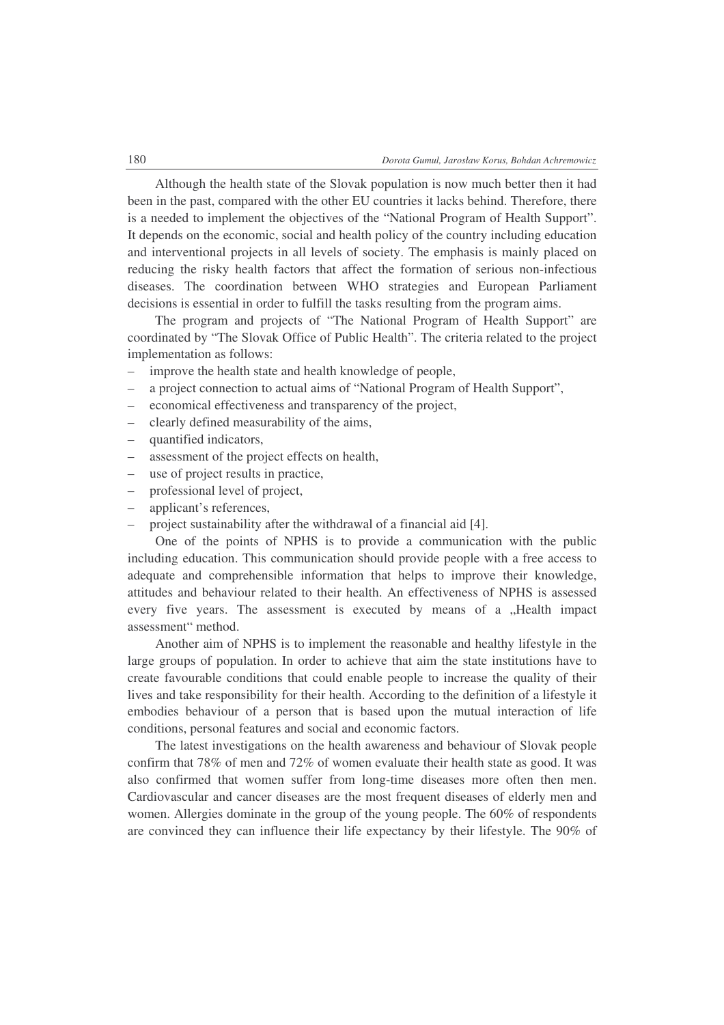Although the health state of the Slovak population is now much better then it had been in the past, compared with the other EU countries it lacks behind. Therefore, there is a needed to implement the objectives of the "National Program of Health Support". It depends on the economic, social and health policy of the country including education and interventional projects in all levels of society. The emphasis is mainly placed on reducing the risky health factors that affect the formation of serious non-infectious diseases. The coordination between WHO strategies and European Parliament decisions is essential in order to fulfill the tasks resulting from the program aims.

The program and projects of "The National Program of Health Support" are coordinated by "The Slovak Office of Public Health". The criteria related to the project implementation as follows:

- improve the health state and health knowledge of people,
- a project connection to actual aims of "National Program of Health Support",
- economical effectiveness and transparency of the project,
- clearly defined measurability of the aims,
- quantified indicators,
- assessment of the project effects on health,
- use of project results in practice,
- professional level of project,
- applicant's references,
- project sustainability after the withdrawal of a financial aid [4].

One of the points of NPHS is to provide a communication with the public including education. This communication should provide people with a free access to adequate and comprehensible information that helps to improve their knowledge, attitudes and behaviour related to their health. An effectiveness of NPHS is assessed every five years. The assessment is executed by means of a "Health impact assessment" method.

Another aim of NPHS is to implement the reasonable and healthy lifestyle in the large groups of population. In order to achieve that aim the state institutions have to create favourable conditions that could enable people to increase the quality of their lives and take responsibility for their health. According to the definition of a lifestyle it embodies behaviour of a person that is based upon the mutual interaction of life conditions, personal features and social and economic factors.

The latest investigations on the health awareness and behaviour of Slovak people confirm that 78% of men and 72% of women evaluate their health state as good. It was also confirmed that women suffer from long-time diseases more often then men. Cardiovascular and cancer diseases are the most frequent diseases of elderly men and women. Allergies dominate in the group of the young people. The 60% of respondents are convinced they can influence their life expectancy by their lifestyle. The 90% of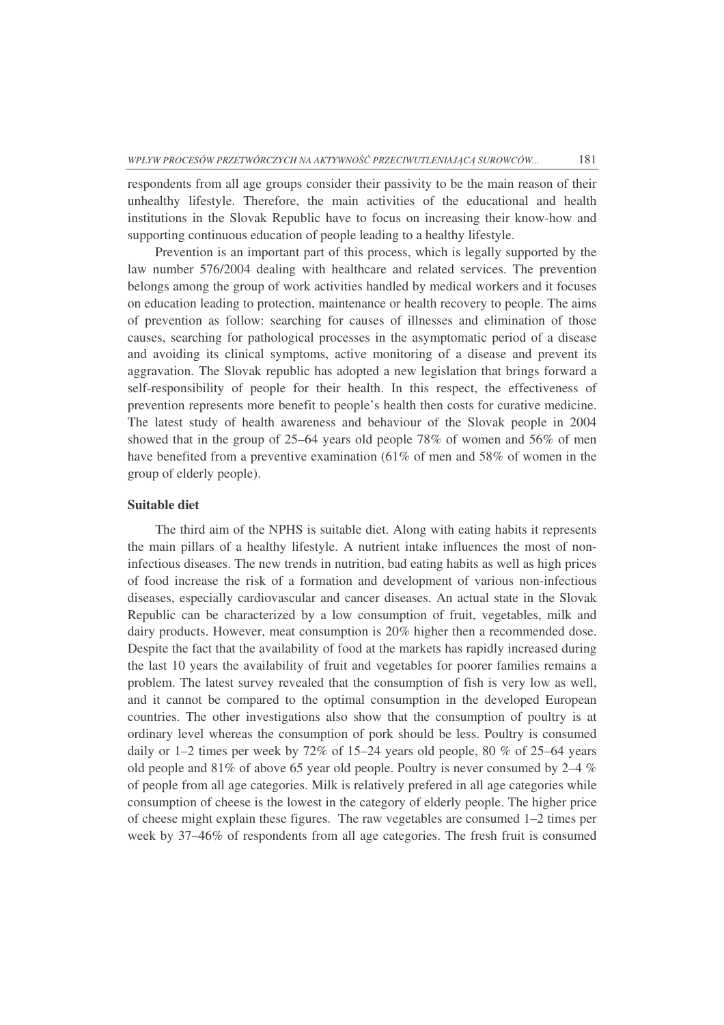respondents from all age groups consider their passivity to be the main reason of their unhealthy lifestyle. Therefore, the main activities of the educational and health institutions in the Slovak Republic have to focus on increasing their know-how and supporting continuous education of people leading to a healthy lifestyle.

Prevention is an important part of this process, which is legally supported by the law number 576/2004 dealing with healthcare and related services. The prevention belongs among the group of work activities handled by medical workers and it focuses on education leading to protection, maintenance or health recovery to people. The aims of prevention as follow: searching for causes of illnesses and elimination of those causes, searching for pathological processes in the asymptomatic period of a disease and avoiding its clinical symptoms, active monitoring of a disease and prevent its aggravation. The Slovak republic has adopted a new legislation that brings forward a self-responsibility of people for their health. In this respect, the effectiveness of prevention represents more benefit to people's health then costs for curative medicine. The latest study of health awareness and behaviour of the Slovak people in 2004 showed that in the group of 25–64 years old people 78% of women and 56% of men have benefited from a preventive examination (61% of men and 58% of women in the group of elderly people).

### **Suitable diet**

The third aim of the NPHS is suitable diet. Along with eating habits it represents the main pillars of a healthy lifestyle. A nutrient intake influences the most of noninfectious diseases. The new trends in nutrition, bad eating habits as well as high prices of food increase the risk of a formation and development of various non-infectious diseases, especially cardiovascular and cancer diseases. An actual state in the Slovak Republic can be characterized by a low consumption of fruit, vegetables, milk and dairy products. However, meat consumption is 20% higher then a recommended dose. Despite the fact that the availability of food at the markets has rapidly increased during the last 10 years the availability of fruit and vegetables for poorer families remains a problem. The latest survey revealed that the consumption of fish is very low as well, and it cannot be compared to the optimal consumption in the developed European countries. The other investigations also show that the consumption of poultry is at ordinary level whereas the consumption of pork should be less. Poultry is consumed daily or  $1-2$  times per week by 72% of  $15-24$  years old people, 80 % of 25–64 years old people and 81% of above 65 year old people. Poultry is never consumed by  $2-4\%$ of people from all age categories. Milk is relatively prefered in all age categories while consumption of cheese is the lowest in the category of elderly people. The higher price of cheese might explain these figures. The raw vegetables are consumed 1–2 times per week by 37–46% of respondents from all age categories. The fresh fruit is consumed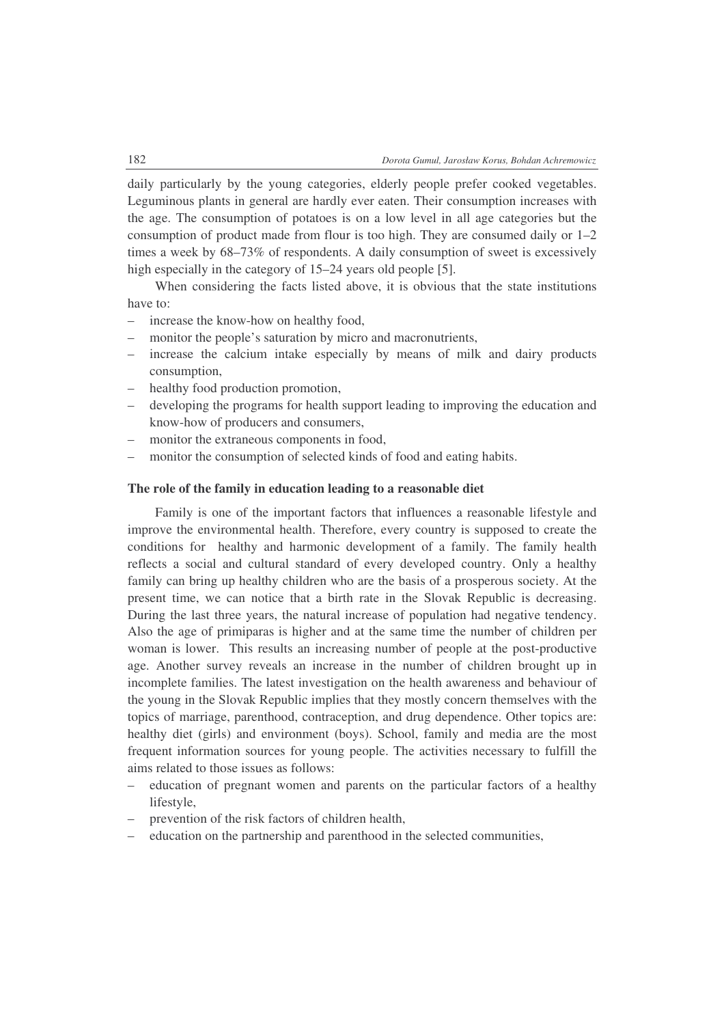daily particularly by the young categories, elderly people prefer cooked vegetables. Leguminous plants in general are hardly ever eaten. Their consumption increases with the age. The consumption of potatoes is on a low level in all age categories but the consumption of product made from flour is too high. They are consumed daily or 1–2 times a week by 68–73% of respondents. A daily consumption of sweet is excessively high especially in the category of 15–24 years old people [5].

When considering the facts listed above, it is obvious that the state institutions have to:

- increase the know-how on healthy food,
- monitor the people's saturation by micro and macronutrients,
- increase the calcium intake especially by means of milk and dairy products consumption,
- healthy food production promotion,
- developing the programs for health support leading to improving the education and know-how of producers and consumers,
- monitor the extraneous components in food,
- monitor the consumption of selected kinds of food and eating habits.

#### **The role of the family in education leading to a reasonable diet**

Family is one of the important factors that influences a reasonable lifestyle and improve the environmental health. Therefore, every country is supposed to create the conditions for healthy and harmonic development of a family. The family health reflects a social and cultural standard of every developed country. Only a healthy family can bring up healthy children who are the basis of a prosperous society. At the present time, we can notice that a birth rate in the Slovak Republic is decreasing. During the last three years, the natural increase of population had negative tendency. Also the age of primiparas is higher and at the same time the number of children per woman is lower. This results an increasing number of people at the post-productive age. Another survey reveals an increase in the number of children brought up in incomplete families. The latest investigation on the health awareness and behaviour of the young in the Slovak Republic implies that they mostly concern themselves with the topics of marriage, parenthood, contraception, and drug dependence. Other topics are: healthy diet (girls) and environment (boys). School, family and media are the most frequent information sources for young people. The activities necessary to fulfill the aims related to those issues as follows:

- education of pregnant women and parents on the particular factors of a healthy lifestyle,
- prevention of the risk factors of children health,
- education on the partnership and parenthood in the selected communities,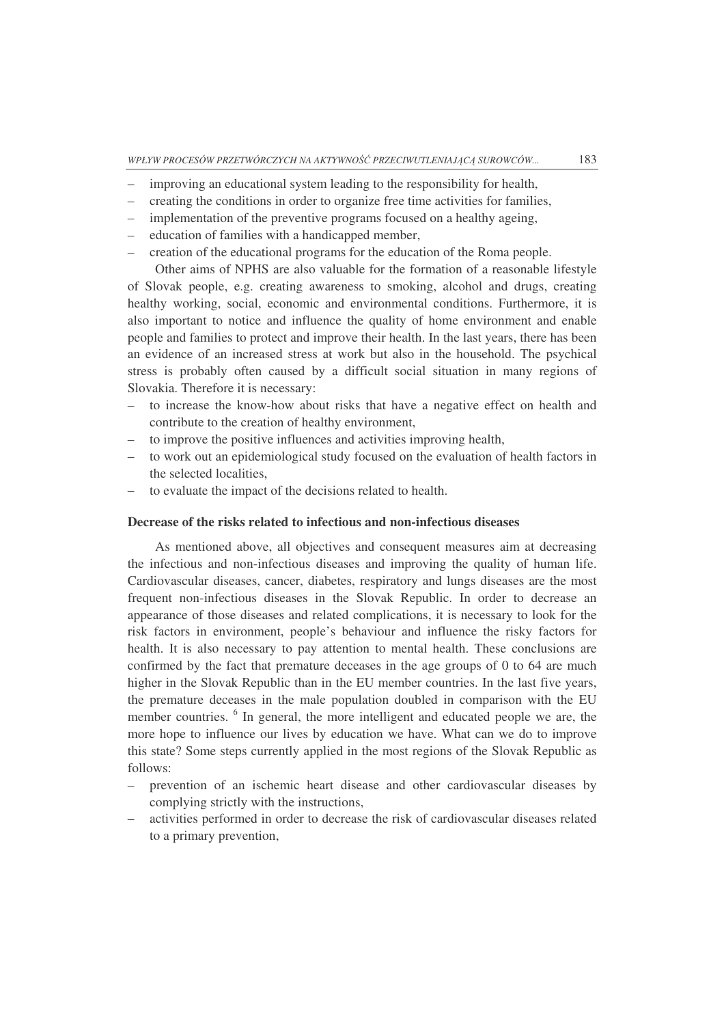- improving an educational system leading to the responsibility for health,
- creating the conditions in order to organize free time activities for families,
- implementation of the preventive programs focused on a healthy ageing,
- education of families with a handicapped member,
- creation of the educational programs for the education of the Roma people.

Other aims of NPHS are also valuable for the formation of a reasonable lifestyle of Slovak people, e.g. creating awareness to smoking, alcohol and drugs, creating healthy working, social, economic and environmental conditions. Furthermore, it is also important to notice and influence the quality of home environment and enable people and families to protect and improve their health. In the last years, there has been an evidence of an increased stress at work but also in the household. The psychical stress is probably often caused by a difficult social situation in many regions of Slovakia. Therefore it is necessary:

- to increase the know-how about risks that have a negative effect on health and contribute to the creation of healthy environment,
- to improve the positive influences and activities improving health,
- to work out an epidemiological study focused on the evaluation of health factors in the selected localities,
- to evaluate the impact of the decisions related to health.

## **Decrease of the risks related to infectious and non-infectious diseases**

As mentioned above, all objectives and consequent measures aim at decreasing the infectious and non-infectious diseases and improving the quality of human life. Cardiovascular diseases, cancer, diabetes, respiratory and lungs diseases are the most frequent non-infectious diseases in the Slovak Republic. In order to decrease an appearance of those diseases and related complications, it is necessary to look for the risk factors in environment, people's behaviour and influence the risky factors for health. It is also necessary to pay attention to mental health. These conclusions are confirmed by the fact that premature deceases in the age groups of 0 to 64 are much higher in the Slovak Republic than in the EU member countries. In the last five years, the premature deceases in the male population doubled in comparison with the EU member countries. <sup>6</sup> In general, the more intelligent and educated people we are, the more hope to influence our lives by education we have. What can we do to improve this state? Some steps currently applied in the most regions of the Slovak Republic as follows:

- prevention of an ischemic heart disease and other cardiovascular diseases by complying strictly with the instructions,
- activities performed in order to decrease the risk of cardiovascular diseases related to a primary prevention,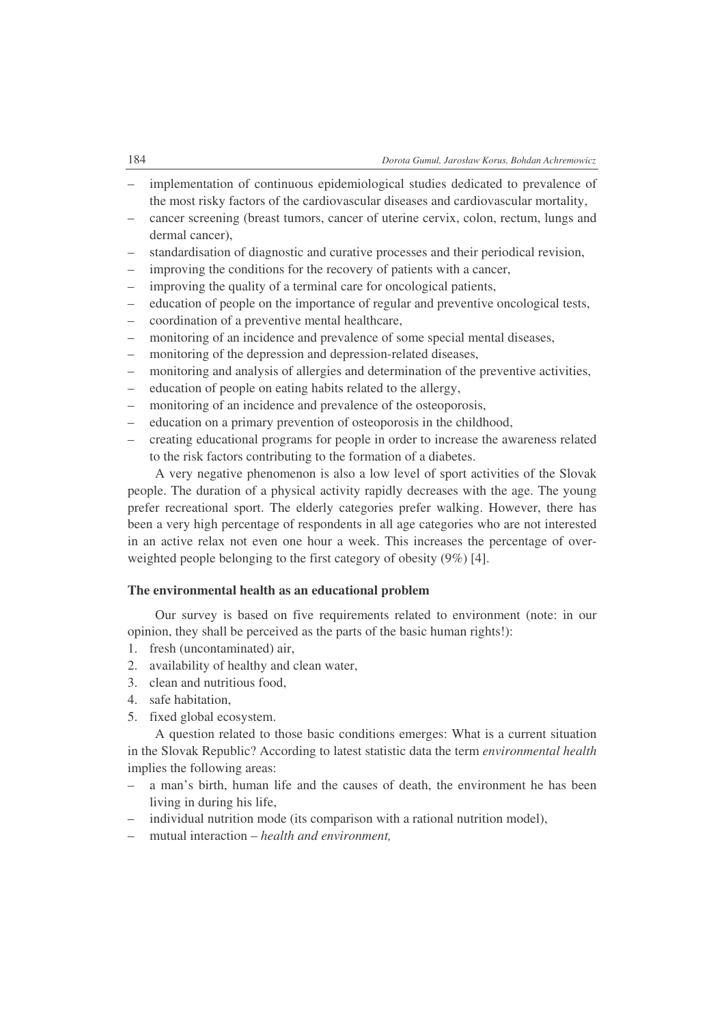- implementation of continuous epidemiological studies dedicated to prevalence of the most risky factors of the cardiovascular diseases and cardiovascular mortality,
- cancer screening (breast tumors, cancer of uterine cervix, colon, rectum, lungs and dermal cancer),
- standardisation of diagnostic and curative processes and their periodical revision,
- improving the conditions for the recovery of patients with a cancer,
- improving the quality of a terminal care for oncological patients,
- education of people on the importance of regular and preventive oncological tests,
- coordination of a preventive mental healthcare,
- monitoring of an incidence and prevalence of some special mental diseases,
- monitoring of the depression and depression-related diseases,
- monitoring and analysis of allergies and determination of the preventive activities,
- education of people on eating habits related to the allergy,
- monitoring of an incidence and prevalence of the osteoporosis,
- education on a primary prevention of osteoporosis in the childhood,
- creating educational programs for people in order to increase the awareness related to the risk factors contributing to the formation of a diabetes.

A very negative phenomenon is also a low level of sport activities of the Slovak people. The duration of a physical activity rapidly decreases with the age. The young prefer recreational sport. The elderly categories prefer walking. However, there has been a very high percentage of respondents in all age categories who are not interested in an active relax not even one hour a week. This increases the percentage of overweighted people belonging to the first category of obesity (9%) [4].

## **The environmental health as an educational problem**

Our survey is based on five requirements related to environment (note: in our opinion, they shall be perceived as the parts of the basic human rights!):

- 1. fresh (uncontaminated) air,
- 2. availability of healthy and clean water,
- 3. clean and nutritious food,
- 4. safe habitation,
- 5. fixed global ecosystem.

A question related to those basic conditions emerges: What is a current situation in the Slovak Republic? According to latest statistic data the term *environmental health* implies the following areas:

- a man's birth, human life and the causes of death, the environment he has been living in during his life,
- individual nutrition mode (its comparison with a rational nutrition model),
- mutual interaction *health and environment,*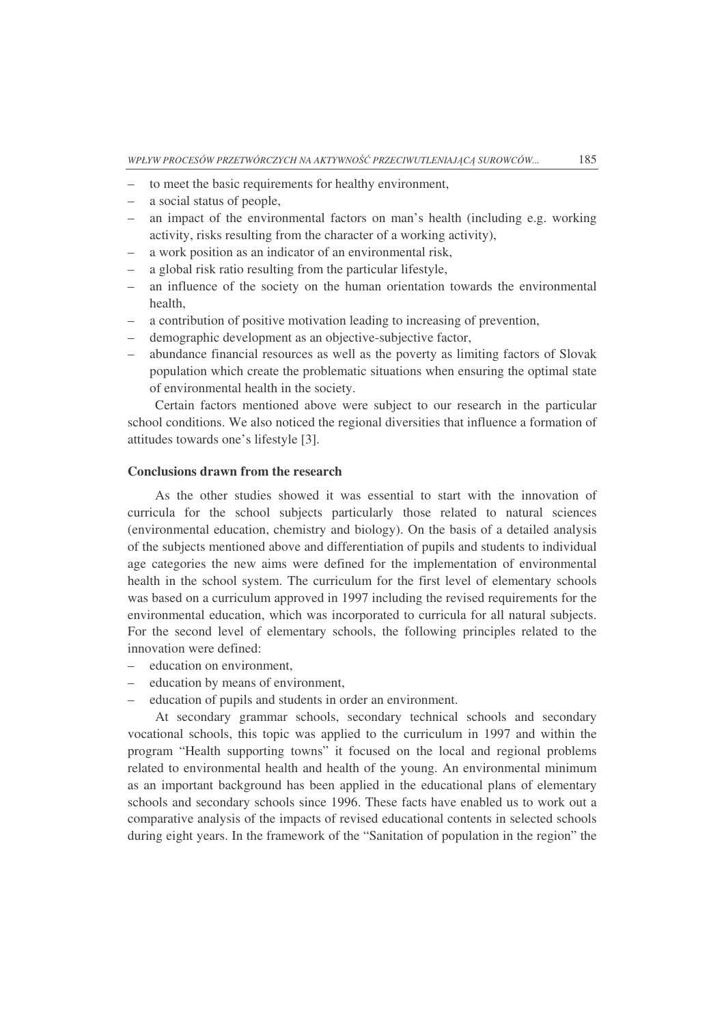- to meet the basic requirements for healthy environment,
- a social status of people,
- an impact of the environmental factors on man's health (including e.g. working activity, risks resulting from the character of a working activity),
- a work position as an indicator of an environmental risk,
- a global risk ratio resulting from the particular lifestyle,
- an influence of the society on the human orientation towards the environmental health,
- a contribution of positive motivation leading to increasing of prevention,
- demographic development as an objective-subjective factor,
- abundance financial resources as well as the poverty as limiting factors of Slovak population which create the problematic situations when ensuring the optimal state of environmental health in the society.

Certain factors mentioned above were subject to our research in the particular school conditions. We also noticed the regional diversities that influence a formation of attitudes towards one's lifestyle [3].

#### **Conclusions drawn from the research**

As the other studies showed it was essential to start with the innovation of curricula for the school subjects particularly those related to natural sciences (environmental education, chemistry and biology). On the basis of a detailed analysis of the subjects mentioned above and differentiation of pupils and students to individual age categories the new aims were defined for the implementation of environmental health in the school system. The curriculum for the first level of elementary schools was based on a curriculum approved in 1997 including the revised requirements for the environmental education, which was incorporated to curricula for all natural subjects. For the second level of elementary schools, the following principles related to the innovation were defined:

- education on environment,
- education by means of environment,
- education of pupils and students in order an environment.

At secondary grammar schools, secondary technical schools and secondary vocational schools, this topic was applied to the curriculum in 1997 and within the program "Health supporting towns" it focused on the local and regional problems related to environmental health and health of the young. An environmental minimum as an important background has been applied in the educational plans of elementary schools and secondary schools since 1996. These facts have enabled us to work out a comparative analysis of the impacts of revised educational contents in selected schools during eight years. In the framework of the "Sanitation of population in the region" the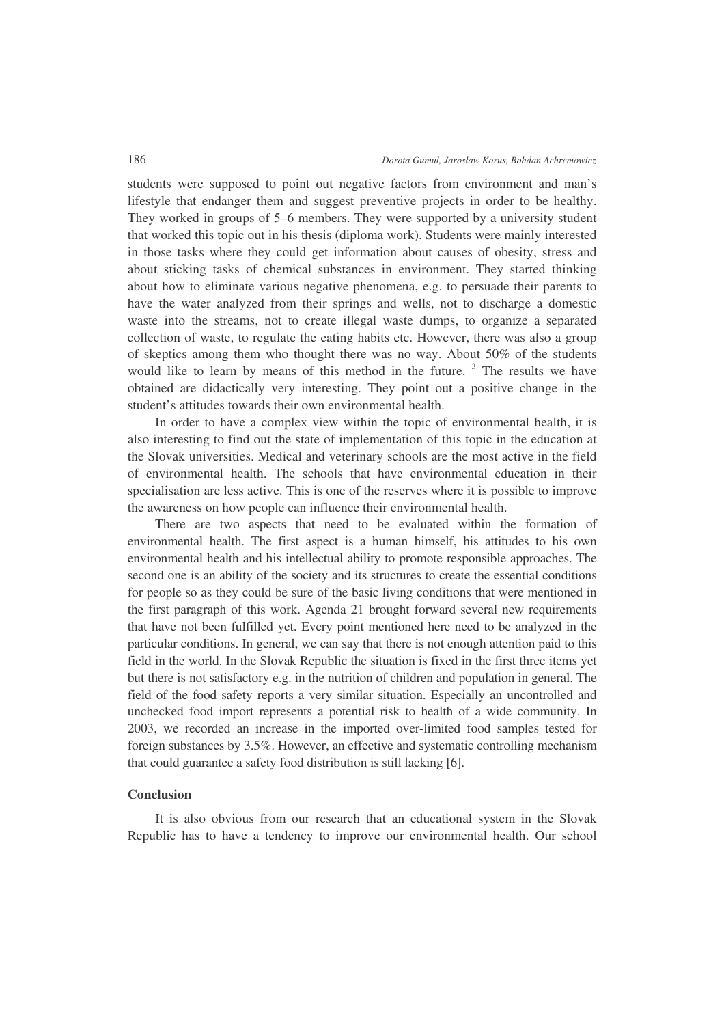students were supposed to point out negative factors from environment and man's lifestyle that endanger them and suggest preventive projects in order to be healthy. They worked in groups of 5–6 members. They were supported by a university student that worked this topic out in his thesis (diploma work). Students were mainly interested in those tasks where they could get information about causes of obesity, stress and about sticking tasks of chemical substances in environment. They started thinking about how to eliminate various negative phenomena, e.g. to persuade their parents to have the water analyzed from their springs and wells, not to discharge a domestic waste into the streams, not to create illegal waste dumps, to organize a separated collection of waste, to regulate the eating habits etc. However, there was also a group of skeptics among them who thought there was no way. About 50% of the students would like to learn by means of this method in the future. <sup>3</sup> The results we have obtained are didactically very interesting. They point out a positive change in the student's attitudes towards their own environmental health.

In order to have a complex view within the topic of environmental health, it is also interesting to find out the state of implementation of this topic in the education at the Slovak universities. Medical and veterinary schools are the most active in the field of environmental health. The schools that have environmental education in their specialisation are less active. This is one of the reserves where it is possible to improve the awareness on how people can influence their environmental health.

There are two aspects that need to be evaluated within the formation of environmental health. The first aspect is a human himself, his attitudes to his own environmental health and his intellectual ability to promote responsible approaches. The second one is an ability of the society and its structures to create the essential conditions for people so as they could be sure of the basic living conditions that were mentioned in the first paragraph of this work. Agenda 21 brought forward several new requirements that have not been fulfilled yet. Every point mentioned here need to be analyzed in the particular conditions. In general, we can say that there is not enough attention paid to this field in the world. In the Slovak Republic the situation is fixed in the first three items yet but there is not satisfactory e.g. in the nutrition of children and population in general. The field of the food safety reports a very similar situation. Especially an uncontrolled and unchecked food import represents a potential risk to health of a wide community. In 2003, we recorded an increase in the imported over-limited food samples tested for foreign substances by 3.5%. However, an effective and systematic controlling mechanism that could guarantee a safety food distribution is still lacking [6].

# **Conclusion**

It is also obvious from our research that an educational system in the Slovak Republic has to have a tendency to improve our environmental health. Our school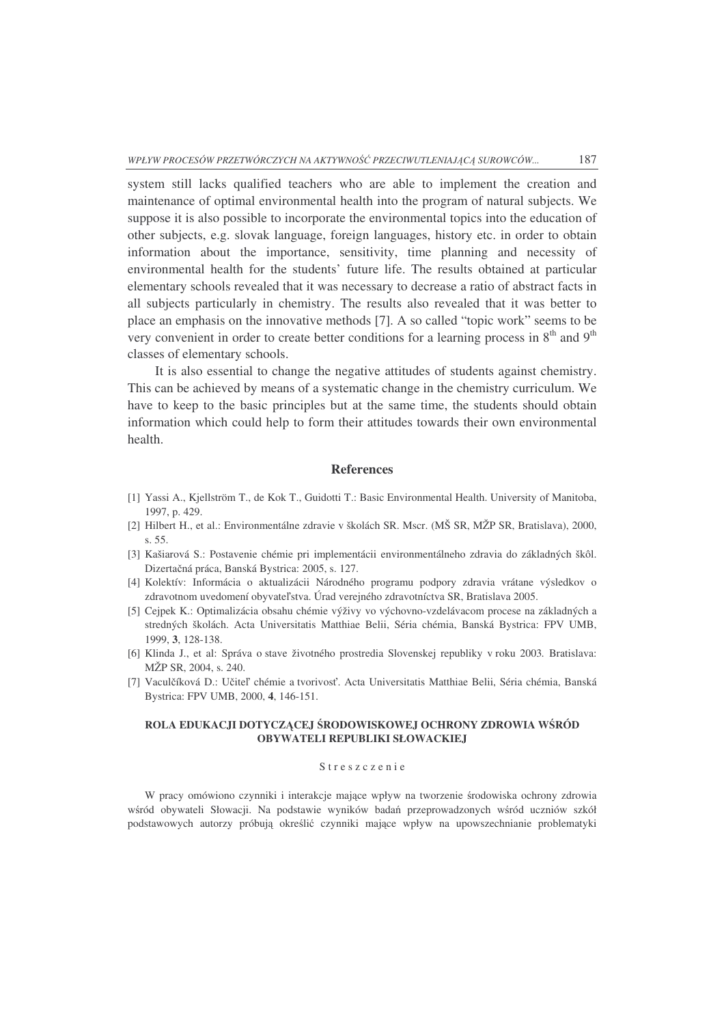system still lacks qualified teachers who are able to implement the creation and maintenance of optimal environmental health into the program of natural subjects. We suppose it is also possible to incorporate the environmental topics into the education of other subjects, e.g. slovak language, foreign languages, history etc. in order to obtain information about the importance, sensitivity, time planning and necessity of environmental health for the students' future life. The results obtained at particular elementary schools revealed that it was necessary to decrease a ratio of abstract facts in all subjects particularly in chemistry. The results also revealed that it was better to place an emphasis on the innovative methods [7]. A so called "topic work" seems to be very convenient in order to create better conditions for a learning process in  $8<sup>th</sup>$  and  $9<sup>th</sup>$ classes of elementary schools.

It is also essential to change the negative attitudes of students against chemistry. This can be achieved by means of a systematic change in the chemistry curriculum. We have to keep to the basic principles but at the same time, the students should obtain information which could help to form their attitudes towards their own environmental health.

#### **References**

- [1] Yassi A., Kjellström T., de Kok T., Guidotti T.: Basic Environmental Health. University of Manitoba, 1997, p. 429.
- [2] Hilbert H., et al.: Environmentálne zdravie v školách SR. Mscr. (MŠ SR, MŽP SR, Bratislava), 2000, s. 55.
- [3] Kašiarová S.: Postavenie chémie pri implementácii environmentálneho zdravia do základných škôl. Dizertačná práca, Banská Bystrica: 2005, s. 127.
- [4] Kolektív: Informácia o aktualizácii Národného programu podpory zdravia vrátane výsledkov o zdravotnom uvedomení obyvateľstva. Úrad verejného zdravotníctva SR, Bratislava 2005.
- [5] Cejpek K.: Optimalizácia obsahu chémie výživy vo výchovno-vzdelávacom procese na základných a stredných školách. Acta Universitatis Matthiae Belii, Séria chémia, Banská Bystrica: FPV UMB, 1999, **3**, 128-138.
- [6] Klinda J., et al: Správa o stave životného prostredia Slovenskej republiky v roku 2003*.* Bratislava: MŽP SR, 2004, s. 240.
- [7] Vaculčíková D.: Učiteľ chémie a tvorivosť. Acta Universitatis Matthiae Belii, Séria chémia, Banská Bystrica: FPV UMB, 2000, **4**, 146-151.

#### **ROLA EDUKACJI DOTYCZCEJ** -**RODOWISKOWEJ OCHRONY ZDROWIA W**-**RÓD OBYWATELI REPUBLIKI SŁOWACKIEJ**

#### S treszczenie

W pracy omówiono czynniki i interakcje mające wpływ na tworzenie środowiska ochrony zdrowia wśród obywateli Słowacji. Na podstawie wyników badań przeprowadzonych wśród uczniów szkół podstawowych autorzy próbują określić czynniki mające wpływ na upowszechnianie problematyki